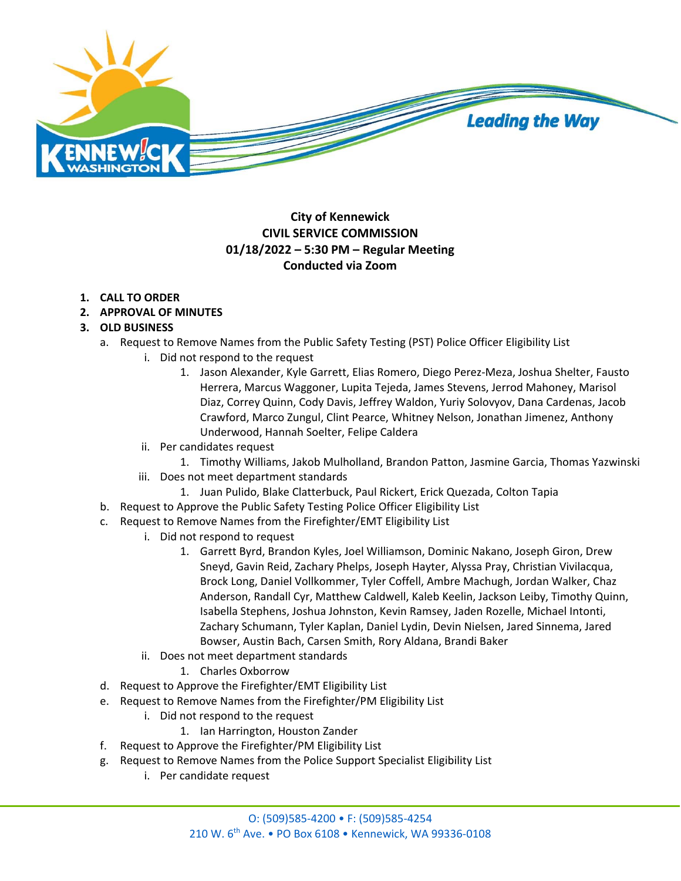

## **City of Kennewick CIVIL SERVICE COMMISSION 01/18/2022 – 5:30 PM – Regular Meeting Conducted via Zoom**

## **1. CALL TO ORDER**

**2. APPROVAL OF MINUTES** 

## **3. OLD BUSINESS**

- a. Request to Remove Names from the Public Safety Testing (PST) Police Officer Eligibility List
	- i. Did not respond to the request
		- 1. Jason Alexander, Kyle Garrett, Elias Romero, Diego Perez-Meza, Joshua Shelter, Fausto Herrera, Marcus Waggoner, Lupita Tejeda, James Stevens, Jerrod Mahoney, Marisol Diaz, Correy Quinn, Cody Davis, Jeffrey Waldon, Yuriy Solovyov, Dana Cardenas, Jacob Crawford, Marco Zungul, Clint Pearce, Whitney Nelson, Jonathan Jimenez, Anthony Underwood, Hannah Soelter, Felipe Caldera
	- ii. Per candidates request
		- 1. Timothy Williams, Jakob Mulholland, Brandon Patton, Jasmine Garcia, Thomas Yazwinski
	- iii. Does not meet department standards
		- 1. Juan Pulido, Blake Clatterbuck, Paul Rickert, Erick Quezada, Colton Tapia
- b. Request to Approve the Public Safety Testing Police Officer Eligibility List
- c. Request to Remove Names from the Firefighter/EMT Eligibility List
	- i. Did not respond to request
		- 1. Garrett Byrd, Brandon Kyles, Joel Williamson, Dominic Nakano, Joseph Giron, Drew Sneyd, Gavin Reid, Zachary Phelps, Joseph Hayter, Alyssa Pray, Christian Vivilacqua, Brock Long, Daniel Vollkommer, Tyler Coffell, Ambre Machugh, Jordan Walker, Chaz Anderson, Randall Cyr, Matthew Caldwell, Kaleb Keelin, Jackson Leiby, Timothy Quinn, Isabella Stephens, Joshua Johnston, Kevin Ramsey, Jaden Rozelle, Michael Intonti, Zachary Schumann, Tyler Kaplan, Daniel Lydin, Devin Nielsen, Jared Sinnema, Jared Bowser, Austin Bach, Carsen Smith, Rory Aldana, Brandi Baker
	- ii. Does not meet department standards
		- 1. Charles Oxborrow
- d. Request to Approve the Firefighter/EMT Eligibility List
- e. Request to Remove Names from the Firefighter/PM Eligibility List
	- i. Did not respond to the request
		- 1. Ian Harrington, Houston Zander
- f. Request to Approve the Firefighter/PM Eligibility List
- g. Request to Remove Names from the Police Support Specialist Eligibility List
	- i. Per candidate request